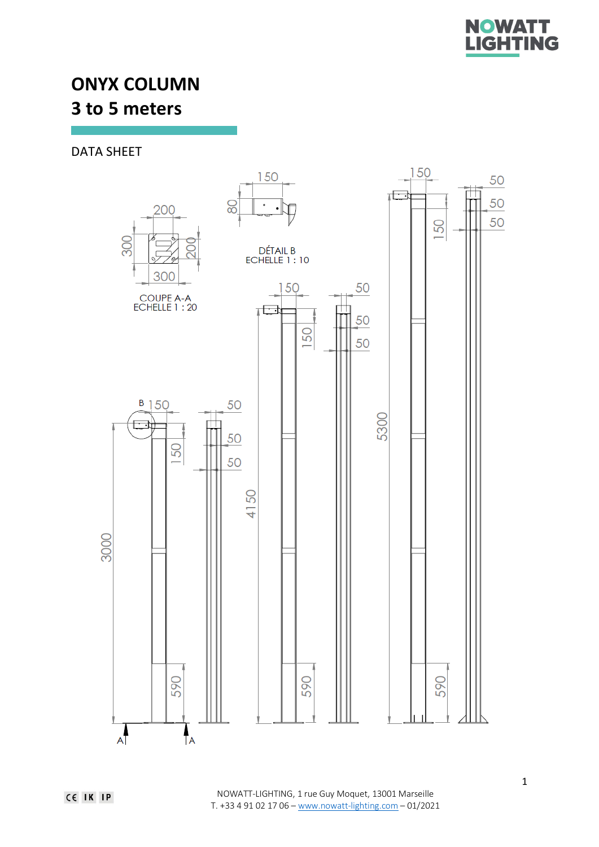

# **ONYX COLUMN 3 to 5 meters**

DATA SHEET

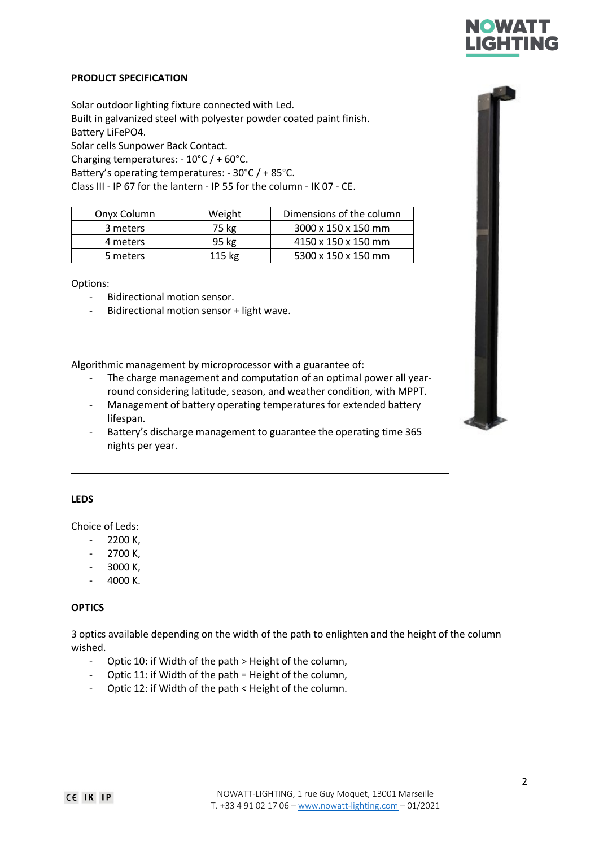

## **PRODUCT SPECIFICATION**

Solar outdoor lighting fixture connected with Led. Built in galvanized steel with polyester powder coated paint finish. Battery LiFePO4. Solar cells Sunpower Back Contact. Charging temperatures: - 10°C / + 60°C. Battery's operating temperatures: - 30°C / + 85°C. Class III - IP 67 for the lantern - IP 55 for the column - IK 07 - CE.

| Onyx Column | Weight   | Dimensions of the column |
|-------------|----------|--------------------------|
| 3 meters    | 75 kg    | 3000 x 150 x 150 mm      |
| 4 meters    | 95 kg    | 4150 x 150 x 150 mm      |
| 5 meters    | $115$ kg | 5300 x 150 x 150 mm      |

Options:

- Bidirectional motion sensor.
- Bidirectional motion sensor + light wave.

Algorithmic management by microprocessor with a guarantee of:

- The charge management and computation of an optimal power all yearround considering latitude, season, and weather condition, with MPPT.
- Management of battery operating temperatures for extended battery lifespan.
- Battery's discharge management to guarantee the operating time 365 nights per year.

### **LEDS**

Choice of Leds:

- 2200 K,
- 2700 K,
- 3000 K,
- 4000 K.

### **OPTICS**

3 optics available depending on the width of the path to enlighten and the height of the column wished.

- Optic 10: if Width of the path > Height of the column,
- Optic 11: if Width of the path = Height of the column,
- Optic 12: if Width of the path < Height of the column.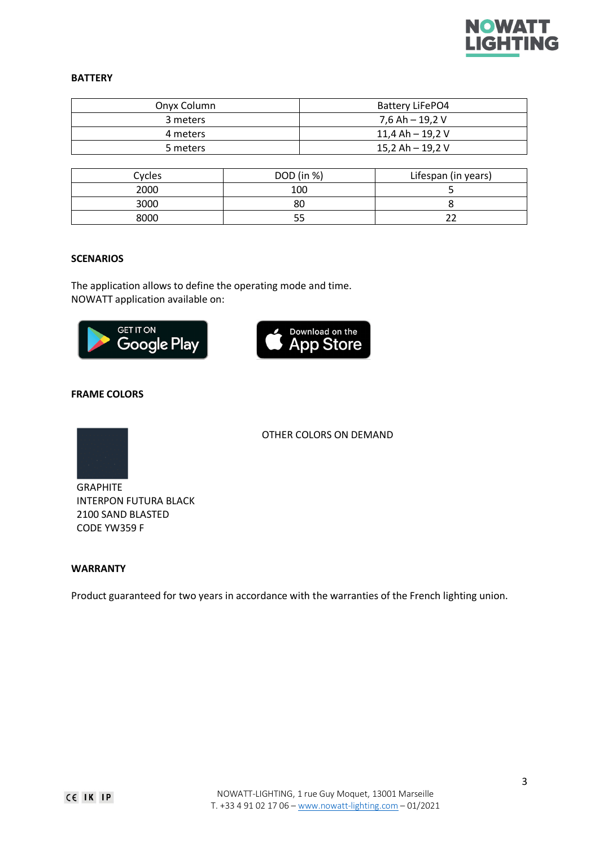

## **BATTERY**

| Onyx Column | Battery LiFePO4  |
|-------------|------------------|
| 3 meters    | 7,6 Ah – 19,2 V  |
| 4 meters    | 11,4 Ah – 19,2 V |
| 5 meters    | 15,2 Ah - 19,2 V |

| Cycles | DOD (in %) | Lifespan (in years) |
|--------|------------|---------------------|
| 2000   | 100        |                     |
| 3000   | 80         |                     |
| 8000   |            |                     |

# **SCENARIOS**

The application allows to define the operating mode and time. NOWATT application available on:





OTHER COLORS ON DEMAND

### **FRAME COLORS**



GRAPHITE INTERPON FUTURA BLACK 2100 SAND BLASTED CODE YW359 F

## **WARRANTY**

Product guaranteed for two years in accordance with the warranties of the French lighting union.